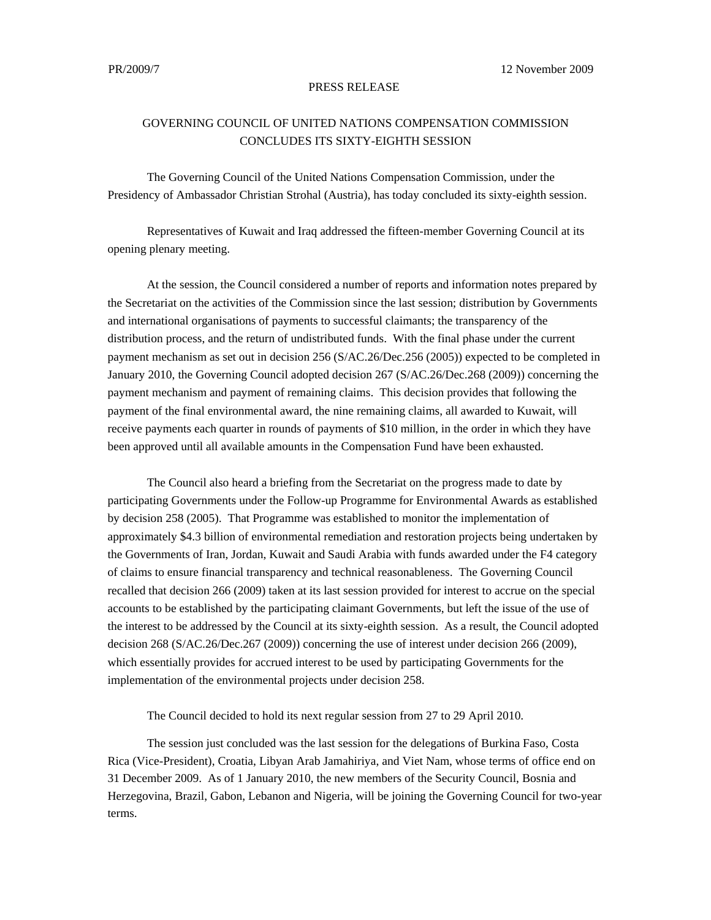## PRESS RELEASE

## GOVERNING COUNCIL OF UNITED NATIONS COMPENSATION COMMISSION CONCLUDES ITS SIXTY-EIGHTH SESSION

The Governing Council of the United Nations Compensation Commission, under the Presidency of Ambassador Christian Strohal (Austria), has today concluded its sixty-eighth session.

Representatives of Kuwait and Iraq addressed the fifteen-member Governing Council at its opening plenary meeting.

At the session, the Council considered a number of reports and information notes prepared by the Secretariat on the activities of the Commission since the last session; distribution by Governments and international organisations of payments to successful claimants; the transparency of the distribution process, and the return of undistributed funds. With the final phase under the current payment mechanism as set out in decision 256 (S/AC.26/Dec.256 (2005)) expected to be completed in January 2010, the Governing Council adopted decision 267 (S/AC.26/Dec.268 (2009)) concerning the payment mechanism and payment of remaining claims. This decision provides that following the payment of the final environmental award, the nine remaining claims, all awarded to Kuwait, will receive payments each quarter in rounds of payments of \$10 million, in the order in which they have been approved until all available amounts in the Compensation Fund have been exhausted.

The Council also heard a briefing from the Secretariat on the progress made to date by participating Governments under the Follow-up Programme for Environmental Awards as established by decision 258 (2005). That Programme was established to monitor the implementation of approximately \$4.3 billion of environmental remediation and restoration projects being undertaken by the Governments of Iran, Jordan, Kuwait and Saudi Arabia with funds awarded under the F4 category of claims to ensure financial transparency and technical reasonableness. The Governing Council recalled that decision 266 (2009) taken at its last session provided for interest to accrue on the special accounts to be established by the participating claimant Governments, but left the issue of the use of the interest to be addressed by the Council at its sixty-eighth session. As a result, the Council adopted decision 268 (S/AC.26/Dec.267 (2009)) concerning the use of interest under decision 266 (2009), which essentially provides for accrued interest to be used by participating Governments for the implementation of the environmental projects under decision 258.

The Council decided to hold its next regular session from 27 to 29 April 2010.

The session just concluded was the last session for the delegations of Burkina Faso, Costa Rica (Vice-President), Croatia, Libyan Arab Jamahiriya, and Viet Nam, whose terms of office end on 31 December 2009. As of 1 January 2010, the new members of the Security Council, Bosnia and Herzegovina, Brazil, Gabon, Lebanon and Nigeria, will be joining the Governing Council for two-year terms.